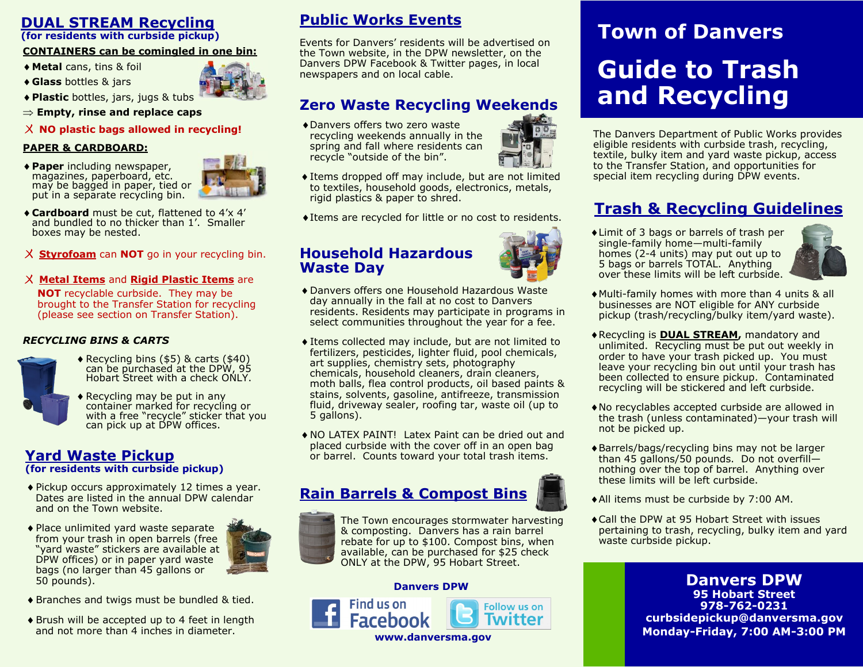# **DUAL STREAM Recycling**

**(for residents with curbside pickup)**

### **CONTAINERS can be comingled in one bin:**

- **Metal** cans, tins & foil
- **Glass** bottles & jars



**Empty, rinse and replace caps**

ㄨ **NO plastic bags allowed in recycling!**

## **PAPER & CARDBOARD:**

**Paper** including newspaper, magazines, paperboard, etc. may be bagged in paper, tied or put in a separate recycling bin.



- **Cardboard** must be cut, flattened to 4'x 4' and bundled to no thicker than 1'. Smaller boxes may be nested.
- ㄨ **Styrofoam** can **NOT** go in your recycling bin.
- ㄨ **Metal Items** and **Rigid Plastic Items** are

**NOT** recyclable curbside. They may be brought to the Transfer Station for recycling (please see section on Transfer Station).

#### *RECYCLING BINS & CARTS*



- Recycling bins (\$5) & carts (\$40) can be purchased at the DPW, 95 Hobart Street with a check ONLY.
- Recycling may be put in any container marked for recycling or with a free "recycle" sticker that you can pick up at DPW offices.

## **Yard Waste Pickup (for residents with curbside pickup)**

- Dates are listed in the annual DPW calendar and on the Town website.
- Place unlimited yard waste separate from your trash in open barrels (free "yard waste" stickers are available at DPW offices) or in paper yard waste bags (no larger than 45 gallons or 50 pounds).
- ◆ Branches and twigs must be bundled & tied.
- ◆ Brush will be accepted up to 4 feet in length and not more than 4 inches in diameter.

# **Public Works Events**

Events for Danvers' residents will be advertised on the Town website, in the DPW newsletter, on the Danvers DPW Facebook & Twitter pages, in local newspapers and on local cable.

# **Zero Waste Recycling Weekends**

Danvers offers two zero waste recycling weekends annually in the spring and fall where residents can recycle "outside of the bin".



Items dropped off may include, but are not limited to textiles, household goods, electronics, metals, rigid plastics & paper to shred.

 $\blacklozenge$  Items are recycled for little or no cost to residents.

## **Household Hazardous Waste Day**



- Danvers offers one Household Hazardous Waste day annually in the fall at no cost to Danvers residents. Residents may participate in programs in select communities throughout the year for a fee.
- Items collected may include, but are not limited to fertilizers, pesticides, lighter fluid, pool chemicals, art supplies, chemistry sets, photography chemicals, household cleaners, drain cleaners, moth balls, flea control products, oil based paints & stains, solvents, gasoline, antifreeze, transmission fluid, driveway sealer, roofing tar, waste oil (up to 5 gallons).
- NO LATEX PAINT! Latex Paint can be dried out and placed curbside with the cover off in an open bag or barrel. Counts toward your total trash items.

# **Pickup occurs approximately 12 times a year.**<br>Dates are listed in the annual DPW calendar **Rain Barrels & Compost Bins**



The Town encourages stormwater harvesting & composting. Danvers has a rain barrel rebate for up to \$100. Compost bins, when available, can be purchased for \$25 check ONLY at the DPW, 95 Hobart Street.

> **Follow us on Twitter**

#### **Danvers DPW**





The Danvers Department of Public Works provides eligible residents with curbside trash, recycling, textile, bulky item and yard waste pickup, access to the Transfer Station, and opportunities for special item recycling during DPW events.

# **Trash & Recycling Guidelines**

Limit of 3 bags or barrels of trash per single-family home—multi-family homes (2-4 units) may put out up to 5 bags or barrels TOTAL. Anything over these limits will be left curbside.



- Multi-family homes with more than 4 units & all businesses are NOT eligible for ANY curbside pickup (trash/recycling/bulky item/yard waste).
- Recycling is **DUAL STREAM,** mandatory and unlimited. Recycling must be put out weekly in order to have your trash picked up. You must leave your recycling bin out until your trash has been collected to ensure pickup. Contaminated recycling will be stickered and left curbside.
- No recyclables accepted curbside are allowed in the trash (unless contaminated)—your trash will not be picked up.
- Barrels/bags/recycling bins may not be larger than 45 gallons/50 pounds. Do not overfill nothing over the top of barrel. Anything over these limits will be left curbside.
- All items must be curbside by 7:00 AM.
- Call the DPW at 95 Hobart Street with issues pertaining to trash, recycling, bulky item and yard waste curbside pickup.

**Danvers DPW 95 Hobart Street 978-762-0231 curbsidepickup@danversma.gov Monday-Friday, 7:00 AM-3:00 PM**